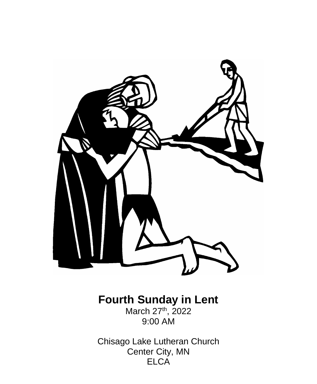

# **Fourth Sunday in Lent**

March 27<sup>th</sup>, 2022 9:00 AM

Chisago Lake Lutheran Church Center City, MN ELCA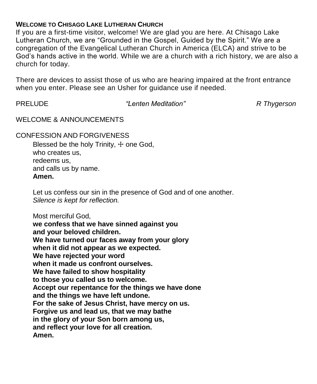#### **WELCOME TO CHISAGO LAKE LUTHERAN CHURCH**

If you are a first-time visitor, welcome! We are glad you are here. At Chisago Lake Lutheran Church, we are "Grounded in the Gospel, Guided by the Spirit." We are a congregation of the Evangelical Lutheran Church in America (ELCA) and strive to be God's hands active in the world. While we are a church with a rich history, we are also a church for today.

There are devices to assist those of us who are hearing impaired at the front entrance when you enter. Please see an Usher for guidance use if needed.

PRELUDE *"Lenten Meditation" R Thygerson*

WELCOME & ANNOUNCEMENTS

CONFESSION AND FORGIVENESS

Blessed be the holy Trinity,  $+$  one God, who creates us, redeems us, and calls us by name. **Amen.**

Let us confess our sin in the presence of God and of one another. *Silence is kept for reflection.*

Most merciful God, **we confess that we have sinned against you and your beloved children. We have turned our faces away from your glory when it did not appear as we expected. We have rejected your word when it made us confront ourselves. We have failed to show hospitality to those you called us to welcome. Accept our repentance for the things we have done and the things we have left undone. For the sake of Jesus Christ, have mercy on us. Forgive us and lead us, that we may bathe in the glory of your Son born among us, and reflect your love for all creation. Amen.**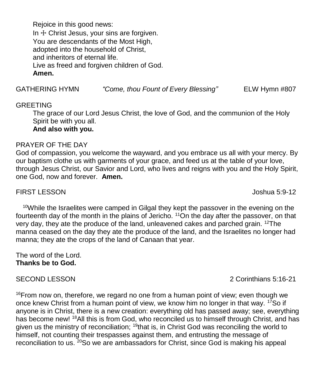Rejoice in this good news: In  $+$  Christ Jesus, your sins are forgiven. You are descendants of the Most High, adopted into the household of Christ, and inheritors of eternal life. Live as freed and forgiven children of God. **Amen.**

GATHERING HYMN *"Come, thou Fount of Every Blessing"* ELW Hymn #807

#### GREETING

The grace of our Lord Jesus Christ, the love of God, and the communion of the Holy Spirit be with you all. **And also with you.**

#### PRAYER OF THE DAY

God of compassion, you welcome the wayward, and you embrace us all with your mercy. By our baptism clothe us with garments of your grace, and feed us at the table of your love, through Jesus Christ, our Savior and Lord, who lives and reigns with you and the Holy Spirit, one God, now and forever. **Amen.**

#### FIRST LESSONJoshua 5:9-12

 $10$ While the Israelites were camped in Gilgal they kept the passover in the evening on the fourteenth day of the month in the plains of Jericho. <sup>11</sup>On the day after the passover, on that very day, they ate the produce of the land, unleavened cakes and parched grain. <sup>12</sup>The manna ceased on the day they ate the produce of the land, and the Israelites no longer had manna; they ate the crops of the land of Canaan that year.

The word of the Lord. **Thanks be to God.**

 $16$ From now on, therefore, we regard no one from a human point of view; even though we once knew Christ from a human point of view, we know him no longer in that way.  $17$ So if anyone is in Christ, there is a new creation: everything old has passed away; see, everything has become new! <sup>18</sup>All this is from God, who reconciled us to himself through Christ, and has given us the ministry of reconciliation;  $19$ that is, in Christ God was reconciling the world to himself, not counting their trespasses against them, and entrusting the message of reconciliation to us. <sup>20</sup>So we are ambassadors for Christ, since God is making his appeal

SECOND LESSON 2 Corinthians 5:16-21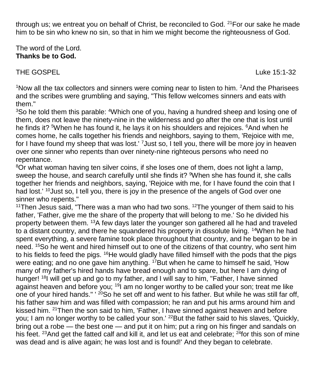through us; we entreat you on behalf of Christ, be reconciled to God.  $21$ For our sake he made him to be sin who knew no sin, so that in him we might become the righteousness of God.

The word of the Lord. **Thanks be to God.**

THE GOSPEL **Example 20** and the contract of the contract of the contract of the contract of the contract of the contract of the contract of the contract of the contract of the contract of the contract of the contract of th

<sup>1</sup>Now all the tax collectors and sinners were coming near to listen to him.  $2$ And the Pharisees and the scribes were grumbling and saying, "This fellow welcomes sinners and eats with them."

<sup>3</sup>So he told them this parable: <sup>4</sup>Which one of you, having a hundred sheep and losing one of them, does not leave the ninety-nine in the wilderness and go after the one that is lost until he finds it? <sup>5</sup>When he has found it, he lays it on his shoulders and rejoices. <sup>6</sup>And when he comes home, he calls together his friends and neighbors, saying to them, 'Rejoice with me, for I have found my sheep that was lost.' <sup>7</sup> Just so, I tell you, there will be more joy in heaven over one sinner who repents than over ninety-nine righteous persons who need no repentance.

<sup>8</sup>Or what woman having ten silver coins, if she loses one of them, does not light a lamp, sweep the house, and search carefully until she finds it? <sup>9</sup>When she has found it, she calls together her friends and neighbors, saying, 'Rejoice with me, for I have found the coin that I had lost.' <sup>10</sup> Just so, I tell you, there is joy in the presence of the angels of God over one sinner who repents."

<sup>11</sup>Then Jesus said, "There was a man who had two sons. <sup>12</sup>The younger of them said to his father, 'Father, give me the share of the property that will belong to me.' So he divided his property between them. <sup>13</sup>A few days later the younger son gathered all he had and traveled to a distant country, and there he squandered his property in dissolute living. <sup>14</sup>When he had spent everything, a severe famine took place throughout that country, and he began to be in need. <sup>15</sup>So he went and hired himself out to one of the citizens of that country, who sent him to his fields to feed the pigs. <sup>16</sup>He would gladly have filled himself with the pods that the pigs were eating; and no one gave him anything. <sup>17</sup>But when he came to himself he said, 'How many of my father's hired hands have bread enough and to spare, but here I am dying of hunger! <sup>18</sup>I will get up and go to my father, and I will say to him, "Father, I have sinned against heaven and before you; <sup>19</sup> am no longer worthy to be called your son; treat me like one of your hired hands." ' <sup>20</sup>So he set off and went to his father. But while he was still far off, his father saw him and was filled with compassion; he ran and put his arms around him and kissed him. <sup>21</sup>Then the son said to him. 'Father, I have sinned against heaven and before you; I am no longer worthy to be called your son.' <sup>22</sup>But the father said to his slaves, 'Quickly, bring out a robe — the best one — and put it on him; put a ring on his finger and sandals on his feet. <sup>23</sup>And get the fatted calf and kill it, and let us eat and celebrate; <sup>24</sup>for this son of mine was dead and is alive again; he was lost and is found!' And they began to celebrate.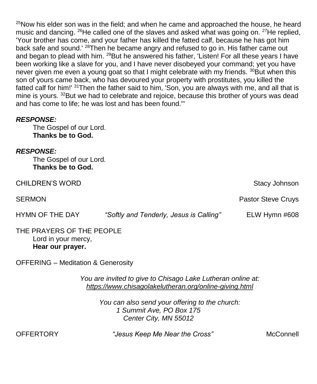$25$ Now his elder son was in the field; and when he came and approached the house, he heard music and dancing.  $^{26}$ He called one of the slaves and asked what was going on.  $^{27}$ He replied, 'Your brother has come, and your father has killed the fatted calf, because he has got him back safe and sound.<sup>' 28</sup>Then he became angry and refused to go in. His father came out and began to plead with him. <sup>29</sup>But he answered his father, 'Listen! For all these years I have been working like a slave for you, and I have never disobeyed your command; yet you have never given me even a young goat so that I might celebrate with my friends.  $30B$ ut when this son of yours came back, who has devoured your property with prostitutes, you killed the fatted calf for him!' <sup>31</sup>Then the father said to him, 'Son, you are always with me, and all that is mine is yours. <sup>32</sup>But we had to celebrate and rejoice, because this brother of yours was dead and has come to life; he was lost and has been found.'"

### *RESPONSE:*

The Gospel of our Lord. **Thanks be to God.**

### *RESPONSE:*

The Gospel of our Lord. **Thanks be to God.**

CHILDREN'S WORD Stacy Johnson Stacy Johnson

HYMN OF THE DAY *"Softly and Tenderly, Jesus is Calling"* ELW Hymn #608

#### THE PRAYERS OF THE PEOPLE Lord in your mercy, **Hear our prayer.**

OFFERING – Meditation & Generosity

*You are invited to give to Chisago Lake Lutheran online at: <https://www.chisagolakelutheran.org/online-giving.html>*

> *You can also send your offering to the church: 1 Summit Ave, PO Box 175 Center City, MN 55012*

OFFERTORY *"Jesus Keep Me Near the Cross"* McConnell

SERMON **Pastor Steve Cruys Pastor Steve Cruys Pastor Steve Cruys**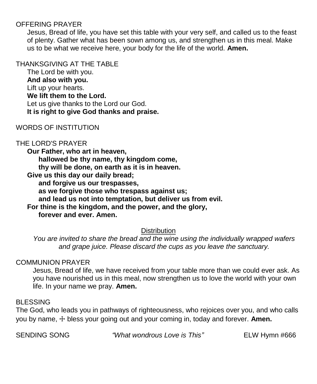# OFFERING PRAYER

Jesus, Bread of life, you have set this table with your very self, and called us to the feast of plenty. Gather what has been sown among us, and strengthen us in this meal. Make us to be what we receive here, your body for the life of the world. **Amen.**

#### THANKSGIVING AT THE TABLE

The Lord be with you. **And also with you.** Lift up your hearts. **We lift them to the Lord.** Let us give thanks to the Lord our God. **It is right to give God thanks and praise.**

# WORDS OF INSTITUTION

#### THE LORD'S PRAYER

**Our Father, who art in heaven, hallowed be thy name, thy kingdom come, thy will be done, on earth as it is in heaven. Give us this day our daily bread; and forgive us our trespasses, as we forgive those who trespass against us;**

**and lead us not into temptation, but deliver us from evil.**

**For thine is the kingdom, and the power, and the glory, forever and ever. Amen.**

#### **Distribution**

*You are invited to share the bread and the wine using the individually wrapped wafers and grape juice. Please discard the cups as you leave the sanctuary.*

#### COMMUNION PRAYER

Jesus, Bread of life, we have received from your table more than we could ever ask. As you have nourished us in this meal, now strengthen us to love the world with your own life. In your name we pray. **Amen.**

#### BLESSING

The God, who leads you in pathways of righteousness, who rejoices over you, and who calls you by name,  $\pm$  bless your going out and your coming in, today and forever. Amen.

SENDING SONG *"What wondrous Love is This"* ELW Hymn #666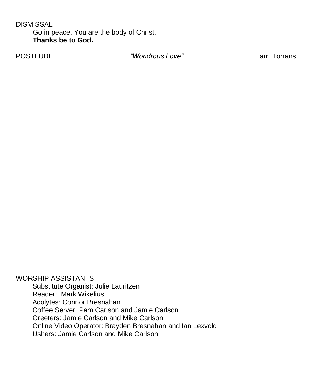**DISMISSAL** 

Go in peace. You are the body of Christ. **Thanks be to God.**

POSTLUDE *"Wondrous Love"* arr. Torrans

WORSHIP ASSISTANTS Substitute Organist: Julie Lauritzen Reader: Mark Wikelius Acolytes: Connor Bresnahan Coffee Server: Pam Carlson and Jamie Carlson Greeters: Jamie Carlson and Mike Carlson Online Video Operator: Brayden Bresnahan and Ian Lexvold Ushers: Jamie Carlson and Mike Carlson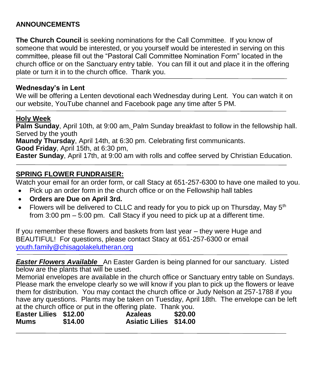# **ANNOUNCEMENTS**

**The Church Council** is seeking nominations for the Call Committee. If you know of someone that would be interested, or you yourself would be interested in serving on this committee, please fill out the "Pastoral Call Committee Nomination Form" located in the church office or on the Sanctuary entry table. You can fill it out and place it in the offering plate or turn it in to the church office. Thank you.

# **Wednesday's in Lent**

We will be offering a Lenten devotional each Wednesday during Lent. You can watch it on our website, YouTube channel and Facebook page any time after 5 PM.

# **Holy Week**

**Palm Sunday**, April 10th, at 9:00 am, Palm Sunday breakfast to follow in the fellowship hall. Served by the youth **Maundy Thursday**, April 14th, at 6:30 pm. Celebrating first communicants.

**Good Friday**, April 15th, at 6:30 pm,

**Easter Sunday**, April 17th, at 9:00 am with rolls and coffee served by Christian Education.

# **SPRING FLOWER FUNDRAISER:**

Watch your email for an order form, or call Stacy at 651-257-6300 to have one mailed to you.

- Pick up an order form in the church office or on the Fellowship hall tables
- **Orders are Due on April 3rd.**
- Flowers will be delivered to CLLC and ready for you to pick up on Thursday, May  $5<sup>th</sup>$ from 3:00 pm – 5:00 pm. Call Stacy if you need to pick up at a different time.

If you remember these flowers and baskets from last year – they were Huge and BEAUTIFUL! For questions, please contact Stacy at 651-257-6300 or email [youth.family@chisagolakelutheran.org](mailto:youth.family@chisagolakelutheran.org)

*Easter Flowers Available* An Easter Garden is being planned for our sanctuary. Listed below are the plants that will be used.

Memorial envelopes are available in the church office or Sanctuary entry table on Sundays. Please mark the envelope clearly so we will know if you plan to pick up the flowers or leave them for distribution. You may contact the church office or Judy Nelson at 257-1788 if you have any questions. Plants may be taken on Tuesday, April 18th. The envelope can be left at the church office or put in the offering plate. Thank you.

| .                     |         | .                             |         |
|-----------------------|---------|-------------------------------|---------|
| Easter Lilies \$12.00 |         | <b>Azaleas</b>                | \$20.00 |
| Mums                  | \$14.00 | <b>Asiatic Lilies \$14.00</b> |         |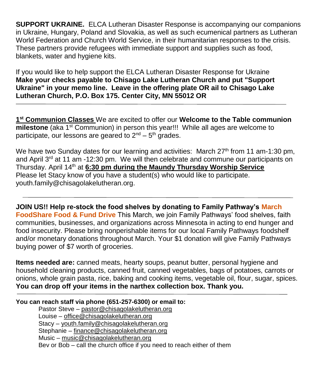**SUPPORT UKRAINE.** ELCA Lutheran Disaster Response is accompanying our companions in Ukraine, Hungary, Poland and Slovakia, as well as such ecumenical partners as Lutheran World Federation and Church World Service, in their humanitarian responses to the crisis. These partners provide refugees with immediate support and supplies such as food, blankets, water and hygiene kits.

If you would like to help support the ELCA Lutheran Disaster Response for Ukraine **Make your checks payable to Chisago Lake Lutheran Church and put "Support Ukraine" in your memo line. Leave in the offering plate OR ail to Chisago Lake Lutheran Church, P.O. Box 175. Center City, MN 55012 OR**

**1 st Communion Classes** We are excited to offer our **Welcome to the Table communion milestone** (aka 1<sup>st</sup> Communion) in person this year!!! While all ages are welcome to participate, our lessons are geared to  $2^{nd}$  –  $5^{th}$  grades.

We have two Sunday dates for our learning and activities: March  $27<sup>th</sup>$  from 11 am-1:30 pm, and April  $3<sup>rd</sup>$  at 11 am -12:30 pm. We will then celebrate and commune our participants on Thursday. April 14th at **6:30 pm during the Maundy Thursday Worship Service** Please let Stacy know of you have a student(s) who would like to participate. youth.family@chisagolakelutheran.org.

**JOIN US!! Help re-stock the food shelves by donating to Family Pathway's March FoodShare Food & Fund Drive** This March, we join Family Pathways' food shelves, faith communities, businesses, and organizations across Minnesota in acting to end hunger and food insecurity. Please bring nonperishable items for our local Family Pathways foodshelf and/or monetary donations throughout March. Your \$1 donation will give Family Pathways buying power of \$7 worth of groceries.

**Items needed are:** canned meats, hearty soups, peanut butter, personal hygiene and household cleaning products, canned fruit, canned vegetables, bags of potatoes, carrots or onions, whole grain pasta, rice, baking and cooking items, vegetable oil, flour, sugar, spices. **You can drop off your items in the narthex collection box. Thank you.**

#### **You can reach staff via phone (651-257-6300) or email to:**

Pastor Steve – [pastor@chisagolakelutheran.org](mailto:pastor@chisagolakelutheran.org) Louise – [office@chisagolakelutheran.org](mailto:office@chisagolakelutheran.org) Stacy – [youth.family@chisagolakelutheran.org](mailto:youth.family@chisagolakelutheran.org) Stephanie – [finance@chisagolakelutheran.org](mailto:finance@chisagolakelutheran.org) Music – [music@chisagolakelutheran.org](mailto:music@chisagolakelutheran.org) Bev or Bob – call the church office if you need to reach either of them